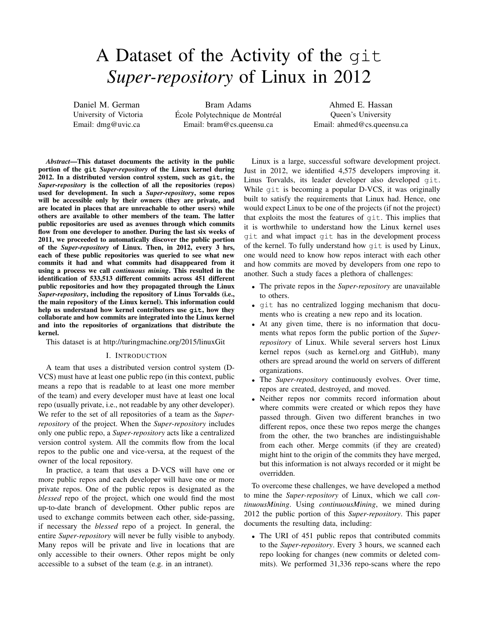# A Dataset of the Activity of the git *Super-repository* of Linux in 2012

Daniel M. German University of Victoria Email: dmg@uvic.ca

Bram Adams École Polytechnique de Montréal Email: bram@cs.queensu.ca

Ahmed E. Hassan Queen's University Email: ahmed@cs.queensu.ca

*Abstract*—This dataset documents the activity in the public portion of the **git** *Super-repository* of the Linux kernel during 2012. In a distributed version control system, such as **git**, the *Super-repository* is the collection of all the repositories (repos) used for development. In such a *Super-repository*, some repos will be accessible only by their owners (they are private, and are located in places that are unreachable to other users) while others are available to other members of the team. The latter public repositories are used as avenues through which commits flow from one developer to another. During the last six weeks of 2011, we proceeded to automatically discover the public portion of the *Super-repository* of Linux. Then, in 2012, every 3 hrs, each of these public repositories was queried to see what new commits it had and what commits had disappeared from it using a process we call *continuous mining*. This resulted in the identification of 533,513 different commits across 451 different public repositories and how they propagated through the Linux *Super-repository*, including the repository of Linus Torvalds (i.e., the main repository of the Linux kernel). This information could help us understand how kernel contributors use **git**, how they collaborate and how commits are integrated into the Linux kernel and into the repositories of organizations that distribute the kernel.

This dataset is at<http://turingmachine.org/2015/linuxGit>

## I. INTRODUCTION

A team that uses a distributed version control system (D-VCS) must have at least one public repo (in this context, public means a repo that is readable to at least one more member of the team) and every developer must have at least one local repo (usually private, i.e., not readable by any other developer). We refer to the set of all repositories of a team as the *Superrepository* of the project. When the *Super-repository* includes only one public repo, a *Super-repository* acts like a centralized version control system. All the commits flow from the local repos to the public one and vice-versa, at the request of the owner of the local repository.

In practice, a team that uses a D-VCS will have one or more public repos and each developer will have one or more private repos. One of the public repos is designated as the *blessed* repo of the project, which one would find the most up-to-date branch of development. Other public repos are used to exchange commits between each other, side-passing, if necessary the *blessed* repo of a project. In general, the entire *Super-repository* will never be fully visible to anybody. Many repos will be private and live in locations that are only accessible to their owners. Other repos might be only accessible to a subset of the team (e.g. in an intranet).

Linux is a large, successful software development project. Just in 2012, we identified 4,575 developers improving it. Linus Torvalds, its leader developer also developed git. While git is becoming a popular D-VCS, it was originally built to satisfy the requirements that Linux had. Hence, one would expect Linux to be one of the projects (if not the project) that exploits the most the features of git. This implies that it is worthwhile to understand how the Linux kernel uses git and what impact git has in the development process of the kernel. To fully understand how git is used by Linux, one would need to know how repos interact with each other and how commits are moved by developers from one repo to another. Such a study faces a plethora of challenges:

- The private repos in the *Super-repository* are unavailable to others.
- git has no centralized logging mechanism that documents who is creating a new repo and its location.
- At any given time, there is no information that documents what repos form the public portion of the *Superrepository* of Linux. While several servers host Linux kernel repos (such as kernel.org and GitHub), many others are spread around the world on servers of different organizations.
- The *Super-repository* continuously evolves. Over time, repos are created, destroyed, and moved.
- Neither repos nor commits record information about where commits were created or which repos they have passed through. Given two different branches in two different repos, once these two repos merge the changes from the other, the two branches are indistinguishable from each other. Merge commits (if they are created) might hint to the origin of the commits they have merged, but this information is not always recorded or it might be overridden.

To overcome these challenges, we have developed a method to mine the *Super-repository* of Linux, which we call *continuousMining*. Using *continuousMining*, we mined during 2012 the public portion of this *Super-repository*. This paper documents the resulting data, including:

• The URI of 451 public repos that contributed commits to the *Super-repository*. Every 3 hours, we scanned each repo looking for changes (new commits or deleted commits). We performed 31,336 repo-scans where the repo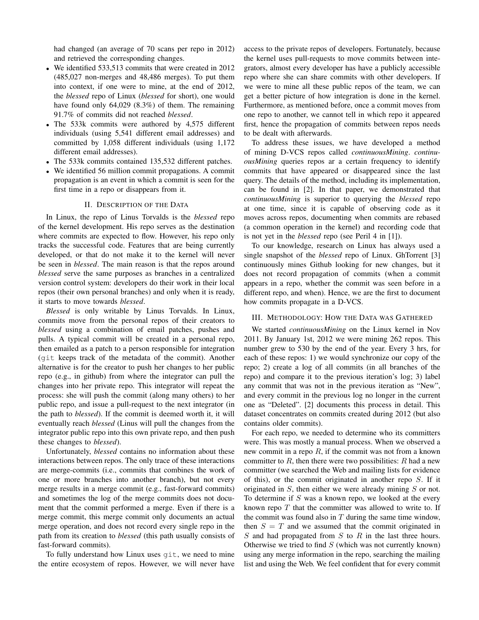had changed (an average of 70 scans per repo in 2012) and retrieved the corresponding changes.

- We identified 533,513 commits that were created in 2012 (485,027 non-merges and 48,486 merges). To put them into context, if one were to mine, at the end of 2012, the *blessed* repo of Linux (*blessed* for short), one would have found only 64,029 (8.3%) of them. The remaining 91.7% of commits did not reached *blessed*.
- The 533k commits were authored by 4,575 different individuals (using 5,541 different email addresses) and committed by 1,058 different individuals (using 1,172 different email addresses).
- The 533k commits contained 135,532 different patches.
- We identified 56 million commit propagations. A commit propagation is an event in which a commit is seen for the first time in a repo or disappears from it.

#### II. DESCRIPTION OF THE DATA

In Linux, the repo of Linus Torvalds is the *blessed* repo of the kernel development. His repo serves as the destination where commits are expected to flow. However, his repo only tracks the successful code. Features that are being currently developed, or that do not make it to the kernel will never be seen in *blessed*. The main reason is that the repos around *blessed* serve the same purposes as branches in a centralized version control system: developers do their work in their local repos (their own personal branches) and only when it is ready, it starts to move towards *blessed*.

*Blessed* is only writable by Linus Torvalds. In Linux, commits move from the personal repos of their creators to *blessed* using a combination of email patches, pushes and pulls. A typical commit will be created in a personal repo, then emailed as a patch to a person responsible for integration (git keeps track of the metadata of the commit). Another alternative is for the creator to push her changes to her public repo (e.g., in github) from where the integrator can pull the changes into her private repo. This integrator will repeat the process: she will push the commit (along many others) to her public repo, and issue a pull-request to the next integrator (in the path to *blessed*). If the commit is deemed worth it, it will eventually reach *blessed* (Linus will pull the changes from the integrator public repo into this own private repo, and then push these changes to *blessed*).

Unfortunately, *blessed* contains no information about these interactions between repos. The only trace of these interactions are merge-commits (i.e., commits that combines the work of one or more branches into another branch), but not every merge results in a merge commit (e.g., fast-forward commits) and sometimes the log of the merge commits does not document that the commit performed a merge. Even if there is a merge commit, this merge commit only documents an actual merge operation, and does not record every single repo in the path from its creation to *blessed* (this path usually consists of fast-forward commits).

To fully understand how Linux uses git, we need to mine the entire ecosystem of repos. However, we will never have

access to the private repos of developers. Fortunately, because the kernel uses pull-requests to move commits between integrators, almost every developer has have a publicly accessible repo where she can share commits with other developers. If we were to mine all these public repos of the team, we can get a better picture of how integration is done in the kernel. Furthermore, as mentioned before, once a commit moves from one repo to another, we cannot tell in which repo it appeared first, hence the propagation of commits between repos needs to be dealt with afterwards.

To address these issues, we have developed a method of mining D-VCS repos called *continuousMining*. *continuousMining* queries repos ar a certain frequency to identify commits that have appeared or disappeared since the last query. The details of the method, including its implementation, can be found in [\[2\]](#page-3-0). In that paper, we demonstrated that *continuousMining* is superior to querying the *blessed* repo at one time, since it is capable of observing code as it moves across repos, documenting when commits are rebased (a common operation in the kernel) and recording code that is not yet in the *blessed* repo (see Peril 4 in [\[1\]](#page-3-1)).

To our knowledge, research on Linux has always used a single snapshot of the *blessed* repo of Linux. GhTorrent [\[3\]](#page-3-2) continuously mines Github looking for new changes, but it does not record propagation of commits (when a commit appears in a repo, whether the commit was seen before in a different repo, and when). Hence, we are the first to document how commits propagate in a D-VCS.

#### III. METHODOLOGY: HOW THE DATA WAS GATHERED

We started *continuousMining* on the Linux kernel in Nov 2011. By January 1st, 2012 we were mining 262 repos. This number grew to 530 by the end of the year. Every 3 hrs, for each of these repos: 1) we would synchronize our copy of the repo; 2) create a log of all commits (in all branches of the repo) and compare it to the previous iteration's log; 3) label any commit that was not in the previous iteration as "New", and every commit in the previous log no longer in the current one as "Deleted". [\[2\]](#page-3-0) documents this process in detail. This dataset concentrates on commits created during 2012 (but also contains older commits).

For each repo, we needed to determine who its committers were. This was mostly a manual process. When we observed a new commit in a repo  $R$ , if the commit was not from a known committer to  $R$ , then there were two possibilities:  $R$  had a new committer (we searched the Web and mailing lists for evidence of this), or the commit originated in another repo  $S$ . If it originated in  $S$ , then either we were already mining  $S$  or not. To determine if  $S$  was a known repo, we looked at the every known repo  $T$  that the committer was allowed to write to. If the commit was found also in  $T$  during the same time window, then  $S = T$  and we assumed that the commit originated in  $S$  and had propagated from  $S$  to  $R$  in the last three hours. Otherwise we tried to find  $S$  (which was not currently known) using any merge information in the repo, searching the mailing list and using the Web. We feel confident that for every commit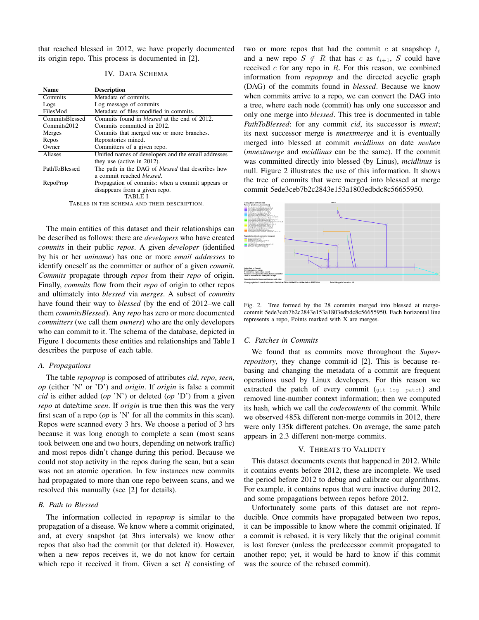that reached blessed in 2012, we have properly documented its origin repo. This process is documented in [\[2\]](#page-3-0).

# IV. DATA SCHEMA

| <b>Name</b>    | <b>Description</b>                                       |
|----------------|----------------------------------------------------------|
| Commits        | Metadata of commits.                                     |
| Logs           | Log message of commits                                   |
| FilesMod       | Metadata of files modified in commits.                   |
| CommitsBlessed | Commits found in <i>blessed</i> at the end of 2012.      |
| Commits2012    | Commits committed in 2012.                               |
| Merges         | Commits that merged one or more branches.                |
| Repos          | Repositories mined.                                      |
| Owner          | Committers of a given repo.                              |
| Aliases        | Unified names of developers and the email addresses      |
|                | they use (active in 2012).                               |
| PathToBlessed  | The path in the DAG of <i>blessed</i> that describes how |
|                | a commit reached <i>blessed</i> .                        |
| RepoProp       | Propagation of commits: when a commit appears or         |
|                | disappears from a given repo.                            |
|                |                                                          |
|                |                                                          |

TABLES IN THE SCHEMA AND THEIR DESCRIPTION.

The main entities of this dataset and their relationships can be described as follows: there are *developers* who have created *commits* in their public *repos*. A given *developer* (identified by his or her *uniname*) has one or more *email addresses* to identify oneself as the committer or author of a given *commit*. *Commits* propagate through *repos* from their *repo* of origin. Finally, *commits* flow from their *repo* of origin to other repos and ultimately into *blessed* via *merges*. A subset of *commits* have found their way to *blessed* (by the end of 2012–we call them *commitsBlessed*). Any *repo* has zero or more documented *committers* (we call them *owners*) who are the only developers who can commit to it. The schema of the database, depicted in Figure [1](#page-3-3) documents these entities and relationships and Table [I](#page-2-0) describes the purpose of each table.

## *A. Propagations*

The table *repoprop* is composed of attributes *cid*, *repo*, *seen*, *op* (either 'N' or 'D') and *origin*. If *origin* is false a commit *cid* is either added (*op* 'N') or deleted (*op* 'D') from a given *repo* at date/time *seen*. If *origin* is true then this was the very first scan of a repo (*op* is 'N' for all the commits in this scan). Repos were scanned every 3 hrs. We choose a period of 3 hrs because it was long enough to complete a scan (most scans took between one and two hours, depending on network traffic) and most repos didn't change during this period. Because we could not stop activity in the repos during the scan, but a scan was not an atomic operation. In few instances new commits had propagated to more than one repo between scans, and we resolved this manually (see [\[2\]](#page-3-0) for details).

# *B. Path to Blessed*

The information collected in *repoprop* is similar to the propagation of a disease. We know where a commit originated, and, at every snapshot (at 3hrs intervals) we know other repos that also had the commit (or that deleted it). However, when a new repos receives it, we do not know for certain which repo it received it from. Given a set  $R$  consisting of

two or more repos that had the commit  $c$  at snapshop  $t_i$ and a new repo  $S \notin R$  that has c as  $t_{i+1}$ , S could have received  $c$  for any repo in  $R$ . For this reason, we combined information from *repoprop* and the directed acyclic graph (DAG) of the commits found in *blessed*. Because we know when commits arrive to a repo, we can convert the DAG into a tree, where each node (commit) has only one successor and only one merge into *blessed*. This tree is documented in table *PathToBlessed*: for any commit *cid*, its successor is *mnext*; its next successor merge is *mnextmerge* and it is eventually merged into blessed at commit *mcidlinus* on date *mwhen* (*mnextmerge* and *mcidlinus* can be the same). If the commit was committed directly into blessed (by Linus), *mcidlinus* is null. Figure [2](#page-2-1) illustrates the use of this information. It shows the tree of commits that were merged into blessed at merge commit 5ede3ceb7b2c2843e153a1803edbdc8c56655950.

<span id="page-2-0"></span>

<span id="page-2-1"></span>Fig. 2. Tree formed by the 28 commits merged into blessed at mergecommit 5ede3ceb7b2c2843e153a1803edbdc8c56655950. Each horizontal line represents a repo, Points marked with X are merges.

#### *C. Patches in Commits*

We found that as commits move throughout the *Superrepository*, they change commit-id [\[2\]](#page-3-0). This is because rebasing and changing the metadata of a commit are frequent operations used by Linux developers. For this reason we extracted the patch of every commit (git log -patch) and removed line-number context information; then we computed its hash, which we call the *codecontents* of the commit. While we observed 485k different non-merge commits in 2012, there were only 135k different patches. On average, the same patch appears in 2.3 different non-merge commits.

#### V. THREATS TO VALIDITY

This dataset documents events that happened in 2012. While it contains events before 2012, these are incomplete. We used the period before 2012 to debug and calibrate our algorithms. For example, it contains repos that were inactive during 2012, and some propagations between repos before 2012.

Unfortunately some parts of this dataset are not reproducible. Once commits have propagated between two repos, it can be impossible to know where the commit originated. If a commit is rebased, it is very likely that the original commit is lost forever (unless the predecessor commit propagated to another repo; yet, it would be hard to know if this commit was the source of the rebased commit).